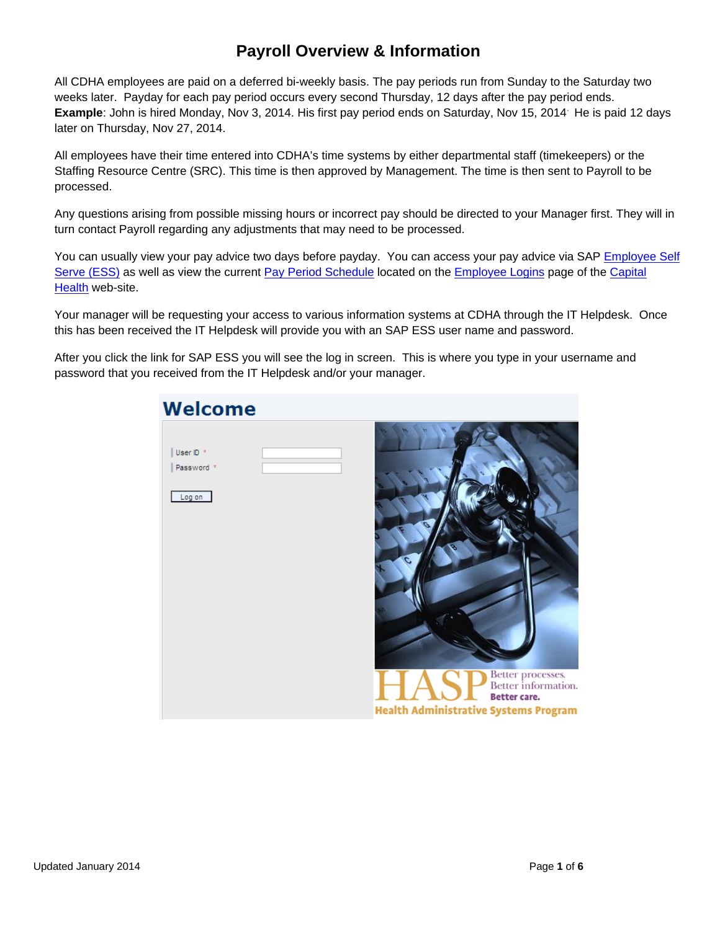## **Payroll Overview & Information**

All CDHA employees are paid on a deferred bi-weekly basis. The pay periods run from Sunday to the Saturday two weeks later. Payday for each pay period occurs every second Thursday, 12 days after the pay period ends. **Example**: John is hired Monday, Nov 3, 2014. His first pay period ends on Saturday, Nov 15, 2014. He is paid 12 days later on Thursday, Nov 27, 2014.

All employees have their time entered into CDHA's time systems by either departmental staff (timekeepers) or the Staffing Resource Centre (SRC). This time is then approved by Management. The time is then sent to Payroll to be processed.

Any questions arising from possible missing hours or incorrect pay should be directed to your Manager first. They will in turn contact Payroll regarding any adjustments that may need to be processed.

You can usually view your pay advice two days before payday. You can access your pay advice via SAP [Employee Self](https://hasp.nshealth.ca/irj/portal)  [Serve \(ESS\)](https://hasp.nshealth.ca/irj/portal) as well as view the current [Pay Period Schedule](http://www.cdha.nshealth.ca/system/files/sites/834/documents/pay-period-schedule.pdf) located on the [Employee Logins](http://www.cdha.nshealth.ca/employees/employee-logins) page of the [Capital](http://www.cdha.nshealth.ca/)  [Health](http://www.cdha.nshealth.ca/) web-site.

Your manager will be requesting your access to various information systems at CDHA through the IT Helpdesk. Once this has been received the IT Helpdesk will provide you with an SAP ESS user name and password.

After you click the link for SAP ESS you will see the log in screen. This is where you type in your username and password that you received from the IT Helpdesk and/or your manager.

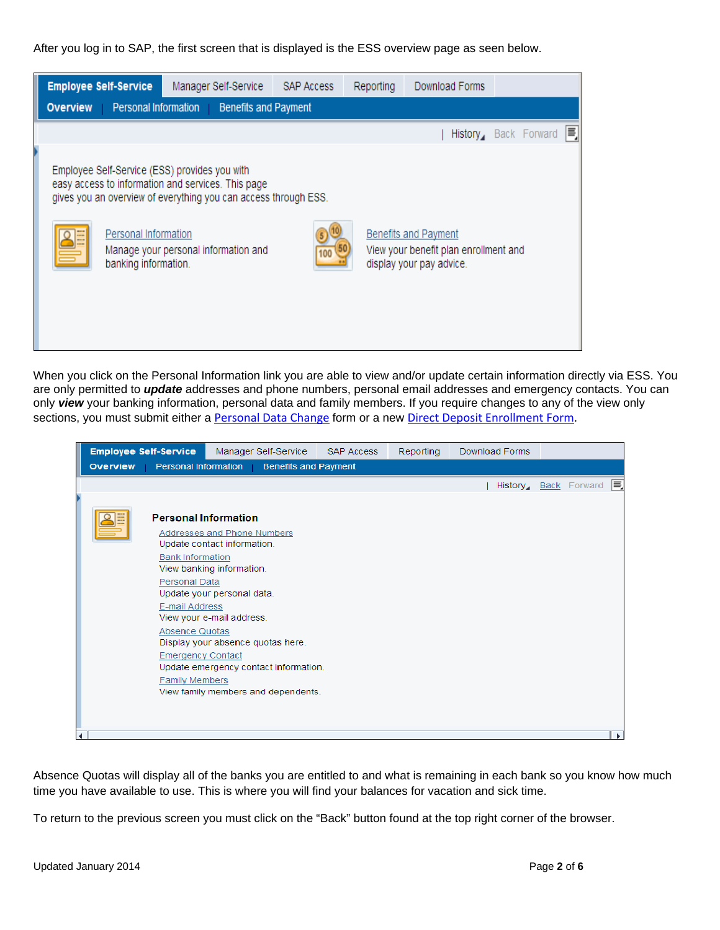After you log in to SAP, the first screen that is displayed is the ESS overview page as seen below.



When you click on the Personal Information link you are able to view and/or update certain information directly via ESS. You are only permitted to *update* addresses and phone numbers, personal email addresses and emergency contacts. You can only *view* your banking information, personal data and family members. If you require changes to any of the view only sections, you must submit either a [Personal](http://www.cdha.nshealth.ca/system/files/sites/834/documents/personal-data-change-form.pdf) Data Change form or a new Direct Deposit [Enrollment](http://www.cdha.nshealth.ca/system/files/sites/834/documents/direct-deposit-enrollment-form.pdf) Form.

|                                                                                                                                                                         | <b>Employee Self-Service</b>                |                             |                                                            | Manager Self-Service                | <b>SAP Access</b> | <b>Reporting</b> | Download Forms |  |  |                      |   |
|-------------------------------------------------------------------------------------------------------------------------------------------------------------------------|---------------------------------------------|-----------------------------|------------------------------------------------------------|-------------------------------------|-------------------|------------------|----------------|--|--|----------------------|---|
|                                                                                                                                                                         | <b>Overview</b>                             | Personal Information        |                                                            | <b>Benefits and Payment</b>         |                   |                  |                |  |  |                      |   |
|                                                                                                                                                                         |                                             |                             |                                                            |                                     |                   |                  |                |  |  | History Back Forward | ≡ |
|                                                                                                                                                                         |                                             |                             |                                                            |                                     |                   |                  |                |  |  |                      |   |
|                                                                                                                                                                         |                                             | <b>Personal Information</b> |                                                            |                                     |                   |                  |                |  |  |                      |   |
|                                                                                                                                                                         |                                             |                             | Addresses and Phone Numbers<br>Update contact information. |                                     |                   |                  |                |  |  |                      |   |
|                                                                                                                                                                         |                                             | <b>Bank Information</b>     | View banking information.                                  |                                     |                   |                  |                |  |  |                      |   |
|                                                                                                                                                                         | Personal Data<br>Update your personal data. |                             |                                                            |                                     |                   |                  |                |  |  |                      |   |
| E-mail Address<br>View your e-mail address.<br>Absence Quotas<br>Display your absence quotas here.<br><b>Emergency Contact</b><br>Update emergency contact information. |                                             |                             |                                                            |                                     |                   |                  |                |  |  |                      |   |
|                                                                                                                                                                         |                                             |                             |                                                            |                                     |                   |                  |                |  |  |                      |   |
|                                                                                                                                                                         |                                             |                             |                                                            |                                     |                   |                  |                |  |  |                      |   |
|                                                                                                                                                                         |                                             | <b>Family Members</b>       |                                                            |                                     |                   |                  |                |  |  |                      |   |
|                                                                                                                                                                         |                                             |                             |                                                            | View family members and dependents. |                   |                  |                |  |  |                      |   |
|                                                                                                                                                                         |                                             |                             |                                                            |                                     |                   |                  |                |  |  |                      |   |
|                                                                                                                                                                         |                                             |                             |                                                            |                                     |                   |                  |                |  |  |                      |   |
|                                                                                                                                                                         |                                             |                             |                                                            |                                     |                   |                  |                |  |  |                      |   |

Absence Quotas will display all of the banks you are entitled to and what is remaining in each bank so you know how much time you have available to use. This is where you will find your balances for vacation and sick time.

To return to the previous screen you must click on the "Back" button found at the top right corner of the browser.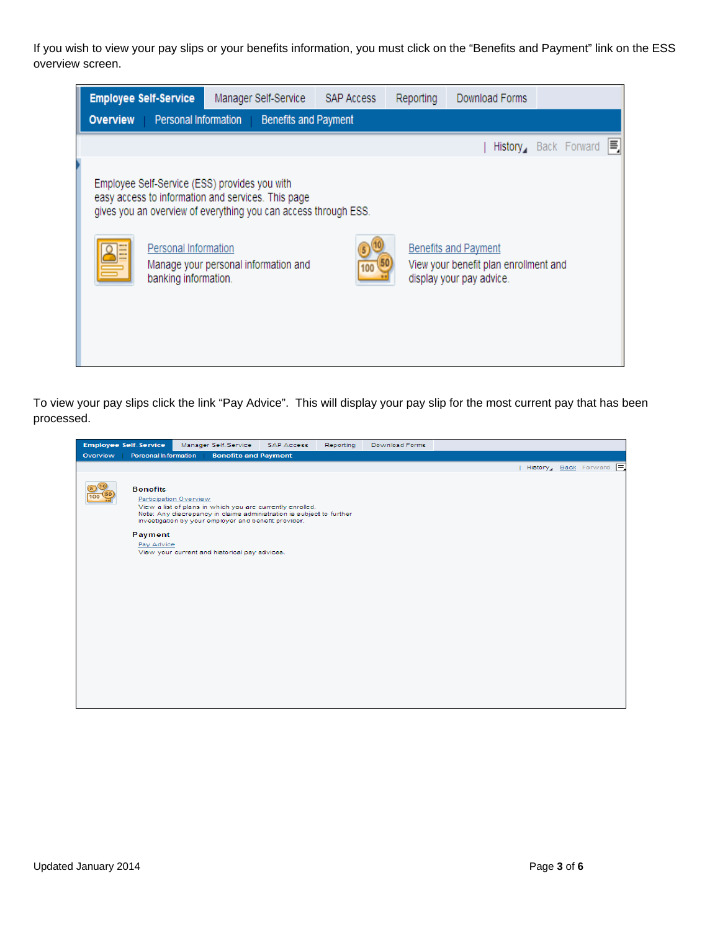If you wish to view your pay slips or your benefits information, you must click on the "Benefits and Payment" link on the ESS overview screen.

| <b>Employee Self-Service</b> |                                              | Manager Self-Service                                                                                                                                                                                           | <b>SAP Access</b> | Reporting | Download Forms                                                                                   |                            |
|------------------------------|----------------------------------------------|----------------------------------------------------------------------------------------------------------------------------------------------------------------------------------------------------------------|-------------------|-----------|--------------------------------------------------------------------------------------------------|----------------------------|
| <b>Overview</b>              | Personal Information                         | <b>Benefits and Payment</b>                                                                                                                                                                                    |                   |           |                                                                                                  |                            |
|                              |                                              |                                                                                                                                                                                                                |                   |           |                                                                                                  | E,<br>History Back Forward |
|                              | Personal Information<br>banking information. | Employee Self-Service (ESS) provides you with<br>easy access to information and services. This page<br>gives you an overview of everything you can access through ESS.<br>Manage your personal information and |                   |           | <b>Benefits and Payment</b><br>View your benefit plan enrollment and<br>display your pay advice. |                            |

To view your pay slips click the link "Pay Advice". This will display your pay slip for the most current pay that has been processed.

| <b>Employee Self-Service</b> |                                           | Manager Self-Service                                 | <b>SAP Access</b>                                                                                                                 | Reporting | Download Forms |  |                                   |
|------------------------------|-------------------------------------------|------------------------------------------------------|-----------------------------------------------------------------------------------------------------------------------------------|-----------|----------------|--|-----------------------------------|
| Overview                     | Personal Information                      | <b>Benefits and Payment</b>                          |                                                                                                                                   |           |                |  |                                   |
|                              |                                           |                                                      |                                                                                                                                   |           |                |  | History <sub>4</sub> Back Forward |
|                              | <b>Benefits</b><br>Participation Overview | investigation by your employer and benefit provider. | View a list of plans in which you are currently enrolled.<br>Note: Any discrepancy in claims administration is subject to further |           |                |  |                                   |
| Payment                      |                                           |                                                      |                                                                                                                                   |           |                |  |                                   |
|                              | Pay Advice                                | View your current and historical pay advices.        |                                                                                                                                   |           |                |  |                                   |
|                              |                                           |                                                      |                                                                                                                                   |           |                |  |                                   |
|                              |                                           |                                                      |                                                                                                                                   |           |                |  |                                   |
|                              |                                           |                                                      |                                                                                                                                   |           |                |  |                                   |
|                              |                                           |                                                      |                                                                                                                                   |           |                |  |                                   |
|                              |                                           |                                                      |                                                                                                                                   |           |                |  |                                   |
|                              |                                           |                                                      |                                                                                                                                   |           |                |  |                                   |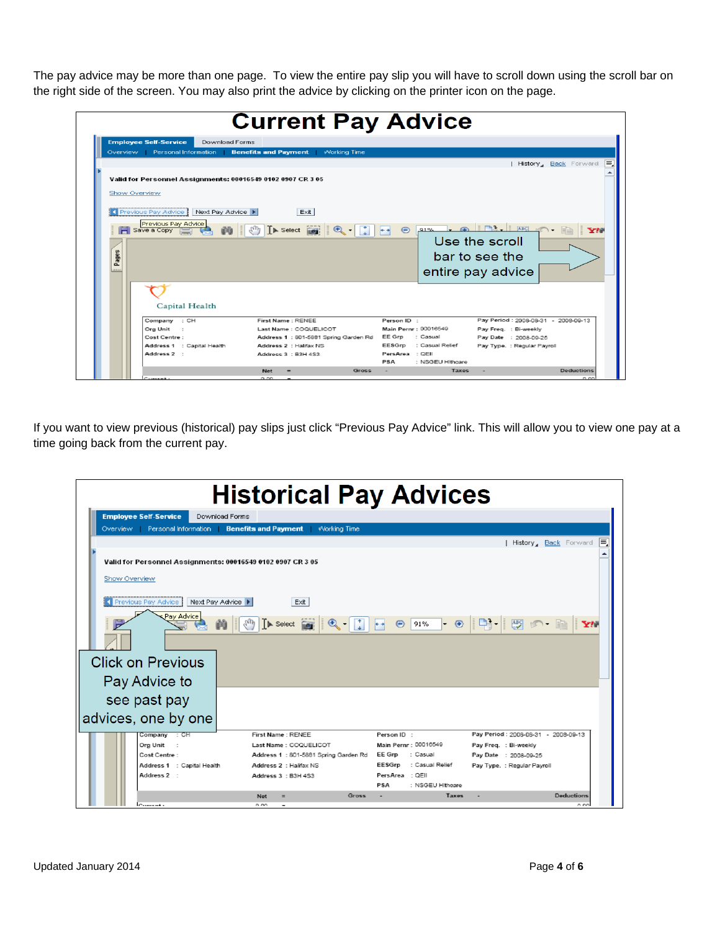The pay advice may be more than one page. To view the entire pay slip you will have to scroll down using the scroll bar on the right side of the screen. You may also print the advice by clicking on the printer icon on the page.

|                  | <b>Employee Self-Service</b><br>Download Forms              |                                                                        |                           |                                                                                              |
|------------------|-------------------------------------------------------------|------------------------------------------------------------------------|---------------------------|----------------------------------------------------------------------------------------------|
|                  |                                                             | Overview Personal Information <b>Benefits and Payment</b> Working Time |                           |                                                                                              |
|                  |                                                             |                                                                        |                           | History, Back Forward                                                                        |
|                  |                                                             |                                                                        |                           |                                                                                              |
|                  | Valid for Personnel Assignments: 00016549 0102 0907 CR 3 05 |                                                                        |                           |                                                                                              |
|                  | Show Overview                                               |                                                                        |                           |                                                                                              |
|                  |                                                             |                                                                        |                           |                                                                                              |
|                  | K Previous Pay Advice   Next Pay Advice ▶                   | Exit                                                                   |                           |                                                                                              |
|                  |                                                             |                                                                        |                           |                                                                                              |
|                  |                                                             |                                                                        |                           |                                                                                              |
|                  | Previous Pay Advice                                         |                                                                        | $\odot$                   | $91\%$ $\bullet$ $\bullet$ $\bullet$ $\bullet$ $\bullet$ $\bullet$ $\bullet$<br><b>Setti</b> |
|                  |                                                             |                                                                        |                           |                                                                                              |
|                  |                                                             |                                                                        |                           | Use the scroll                                                                               |
|                  |                                                             |                                                                        |                           | bar to see the                                                                               |
| Pages<br>1.1.1.1 |                                                             |                                                                        |                           |                                                                                              |
|                  |                                                             |                                                                        |                           | entire pay advice                                                                            |
|                  |                                                             |                                                                        |                           |                                                                                              |
|                  |                                                             |                                                                        |                           |                                                                                              |
|                  | Capital Health                                              |                                                                        |                           |                                                                                              |
|                  |                                                             | First Name: RENEE                                                      | Person ID:                | Pay Period: 2008-08-31 - 2008-09-13                                                          |
|                  | Company : CH<br>Org Unit :                                  | Last Name: COQUELICOT                                                  | Main Pernr: 00016549      | Pay Freq. : Bi-weekly                                                                        |
|                  | Cost Centre:                                                | Address 1:801-5881 Spring Garden Rd                                    | EE Grp<br>: Casual        | Pay Date : 2008-09-25                                                                        |
|                  | Address 1 : Capital Health                                  | Address 2 : Halifax NS                                                 | EESGrp<br>: Casual Relief | Pay Type. : Regular Payroll                                                                  |

If you want to view previous (historical) pay slips just click "Previous Pay Advice" link. This will allow you to view one pay at a time going back from the current pay.

|                                                                              | <b>Historical Pay Advices</b>                 |                                              |                                     |
|------------------------------------------------------------------------------|-----------------------------------------------|----------------------------------------------|-------------------------------------|
| <b>Employee Self-Service</b>                                                 | Download Forms                                |                                              |                                     |
| Personal Information<br>Overview                                             | <b>Benefits and Payment</b><br>Working Time   |                                              |                                     |
|                                                                              |                                               |                                              | Ξ.<br>  History, Back Forward       |
| Valid for Personnel Assignments: 00016549 0102 0907 CR 3 05<br>Show Overview |                                               |                                              |                                     |
| Previous Pay Advice Next Pay Advice<br>Pay Advice                            | Exit                                          |                                              |                                     |
|                                                                              |                                               |                                              |                                     |
| <b>Click on Previous</b>                                                     |                                               |                                              |                                     |
| Pay Advice to                                                                |                                               |                                              |                                     |
| see past pay                                                                 |                                               |                                              |                                     |
| advices, one by one                                                          |                                               |                                              |                                     |
| Company : CH                                                                 | <b>First Name: RENEE</b>                      | Person ID :                                  | Pay Period: 2008-08-31 - 2008-09-13 |
| Org Unit<br>$\mathbf{r}$                                                     | Last Name: COQUELICOT                         | Main Pernr: 00016549                         | Pay Freq. : Bi-weekly               |
| Cost Centre:                                                                 | Address 1 : 801-5881 Spring Garden Rd         | EE Grp<br>: Casual<br>EESGrp : Casual Relief | Pay Date : 2008-09-25               |
| Address 1 : Capital Health<br>Address 2 :                                    | Address 2 : Halifax NS<br>Address 3 : B3H 4S3 | PersArea : QEII<br>PSA<br>: NSGEU Hithcare   | Pay Type. : Regular Payroll         |
|                                                                              | Gross<br><b>Net</b>                           | <b>Taxes</b>                                 | <b>Deductions</b>                   |
|                                                                              |                                               |                                              |                                     |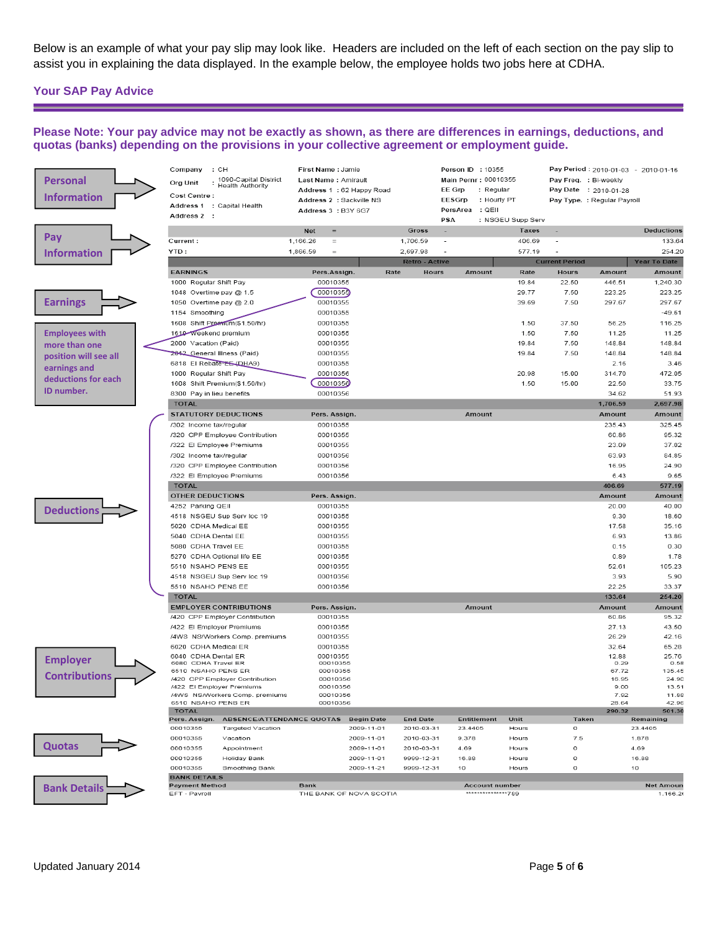Below is an example of what your pay slip may look like. Headers are included on the left of each section on the pay slip to assist you in explaining the data displayed. In the example below, the employee holds two jobs here at CDHA.

## **Your SAP Pay Advice**

<u> 1989 - Andrea Station, amerikansk politiker (</u>

## **Please Note: Your pay advice may not be exactly as shown, as there are differences in earnings, deductions, and quotas (banks) depending on the provisions in your collective agreement or employment guide.**

| <b>Personal</b><br><b>Information</b> | Company<br>: CH<br>1090-Capital District<br>Org Unit<br><b>Health Authority</b><br>Cost Centre:<br>Address 1 : Capital Health<br>Address 2 : | First Name: Jamie<br>Last Name: Amirault<br>Address 1:62 Happy Road<br>Address 2 : Sackville NS<br>Address 3: B3Y 6G7 |                       | Person ID : 10355<br>Main Pernr: 00010355<br>EE Grp<br>: Regular<br>EESGrp<br>: Hourly PT<br>PersArea : QEII<br><b>PSA</b> | : NSGEU Supp Serv     | Pay Period: 2010-01-03 - 2010-01-16<br>Pay Freq. : Bi-weekly<br>Pay Date : 2010-01-28<br>Pay Type. : Regular Payroll |                         |
|---------------------------------------|----------------------------------------------------------------------------------------------------------------------------------------------|-----------------------------------------------------------------------------------------------------------------------|-----------------------|----------------------------------------------------------------------------------------------------------------------------|-----------------------|----------------------------------------------------------------------------------------------------------------------|-------------------------|
|                                       |                                                                                                                                              | <b>Net</b><br>$=$                                                                                                     | Gross                 | ÷                                                                                                                          | <b>Taxes</b>          |                                                                                                                      | Deductions              |
| Pay                                   | Current:                                                                                                                                     | 1,166.26<br>$=$                                                                                                       | 1,706.59              | $\overline{\phantom{a}}$                                                                                                   | 406.69                |                                                                                                                      | 133.64                  |
| <b>Information</b>                    | YTD:                                                                                                                                         | 1,866.59<br>$=$                                                                                                       | 2,697.98              |                                                                                                                            | 577.19                |                                                                                                                      | 254.20                  |
|                                       |                                                                                                                                              |                                                                                                                       | <b>Retro - Active</b> |                                                                                                                            | <b>Current Period</b> |                                                                                                                      | Year To Date            |
|                                       | <b>EARNINGS</b>                                                                                                                              | Rate<br>Pers.Assign.                                                                                                  | Hours                 | Amount                                                                                                                     | Rate                  | <b>Hours</b><br>Amount                                                                                               | Amount                  |
|                                       | 1000 Regular Shift Pay                                                                                                                       | 00010355                                                                                                              |                       |                                                                                                                            | 19.84                 | 22.50<br>446.51                                                                                                      | 1,240.30                |
|                                       | 1048 Overtime pay @ 1.5                                                                                                                      | 00010355                                                                                                              |                       |                                                                                                                            | 29.77                 | 223.25<br>7.50                                                                                                       | 223.25                  |
| <b>Earnings</b>                       | 1050 Overtime pay @ 2.0                                                                                                                      | 00010355                                                                                                              |                       |                                                                                                                            | 39.69                 | 7.50<br>297.67                                                                                                       | 297.67                  |
|                                       | 1154 Smoothing                                                                                                                               | 00010355                                                                                                              |                       |                                                                                                                            |                       |                                                                                                                      | $-49.61$                |
|                                       | 1608 Shift Premium(\$1.50/hr)                                                                                                                | 00010355                                                                                                              |                       |                                                                                                                            | 1.50                  | 37.50<br>56.25                                                                                                       | 116.25                  |
| <b>Employees with</b>                 | 1610-Weekend premium                                                                                                                         | 00010355                                                                                                              |                       |                                                                                                                            | 1.50                  | 11.25<br>7.50                                                                                                        | 11.25                   |
| more than one                         | 2000 Vacation (Paid)                                                                                                                         | 00010355                                                                                                              |                       |                                                                                                                            | 19.84                 | 7.50<br>148.84                                                                                                       | 148.84                  |
| position will see all                 | 2642 General Illness (Paid)                                                                                                                  | 00010355                                                                                                              |                       |                                                                                                                            | 19.84                 | 7.50<br>148.84                                                                                                       | 148.84                  |
| earnings and                          | 6818 El Rebate-EE (DHA9)                                                                                                                     | 00010355                                                                                                              |                       |                                                                                                                            |                       | 2.16                                                                                                                 | 3.46                    |
| deductions for each                   | 1000 Regular Shift Pay                                                                                                                       | 00010356                                                                                                              |                       |                                                                                                                            | 20.98                 | 15.00<br>314.70                                                                                                      | 472.05                  |
|                                       | 1608 Shift Premium(\$1.50/hr)                                                                                                                | 00010356                                                                                                              |                       |                                                                                                                            | 1.50                  | 15.00<br>22.50                                                                                                       | 33.75                   |
| ID number.                            | 8300 Pay in lieu benefits                                                                                                                    | 00010356                                                                                                              |                       |                                                                                                                            |                       | 34.62                                                                                                                | 51.93                   |
|                                       | <b>TOTAL</b>                                                                                                                                 |                                                                                                                       |                       |                                                                                                                            |                       | 1,706.59                                                                                                             | 2,697.98                |
|                                       | STATUTORY DEDUCTIONS                                                                                                                         | Pers. Assign.                                                                                                         |                       | Amount                                                                                                                     |                       | Amount                                                                                                               | Amount                  |
|                                       | /302 Income tax/regular                                                                                                                      | 00010355                                                                                                              |                       |                                                                                                                            |                       | 235.43                                                                                                               | 325.45                  |
|                                       | /320 CPP Employee Contribution                                                                                                               | 00010355                                                                                                              |                       |                                                                                                                            |                       | 60.86                                                                                                                | 95.32                   |
|                                       | /322 El Employee Premiums                                                                                                                    | 00010355                                                                                                              |                       |                                                                                                                            |                       | 23.09                                                                                                                | 37.02                   |
|                                       | /302 Income tax/regular                                                                                                                      | 00010356                                                                                                              |                       |                                                                                                                            |                       | 63.93                                                                                                                | 84.85                   |
|                                       | /320 CPP Employee Contribution                                                                                                               | 00010356                                                                                                              |                       |                                                                                                                            |                       | 16.95                                                                                                                | 24.90                   |
|                                       | /322 El Employee Premiums                                                                                                                    | 00010356                                                                                                              |                       |                                                                                                                            |                       | 6.43                                                                                                                 | 9.65                    |
|                                       | <b>TOTAL</b>                                                                                                                                 |                                                                                                                       |                       |                                                                                                                            |                       | 406.69<br>Amount                                                                                                     | 577.19<br><b>Amount</b> |
|                                       | OTHER DEDUCTIONS<br>4252 Parking QEII                                                                                                        | Pers. Assign.<br>00010355                                                                                             |                       |                                                                                                                            |                       | 20.00                                                                                                                | 40.00                   |
| <b>Deductions</b>                     | 4518 NSGEU Sup Serv loc 19                                                                                                                   | 00010355                                                                                                              |                       |                                                                                                                            |                       | 9.30                                                                                                                 | 18.60                   |
|                                       | 5020 CDHA Medical EE                                                                                                                         | 00010355                                                                                                              |                       |                                                                                                                            |                       | 17.58                                                                                                                | 35.16                   |
|                                       |                                                                                                                                              |                                                                                                                       |                       |                                                                                                                            |                       |                                                                                                                      |                         |
|                                       |                                                                                                                                              |                                                                                                                       |                       |                                                                                                                            |                       |                                                                                                                      |                         |
|                                       | 5040 CDHA Dental EE                                                                                                                          | 00010355                                                                                                              |                       |                                                                                                                            |                       | 6.93                                                                                                                 | 13.86                   |
|                                       | 5080 CDHA Travel EE                                                                                                                          | 00010355                                                                                                              |                       |                                                                                                                            |                       | 0.15                                                                                                                 | 0.30                    |
|                                       | 5270 CDHA Optional life EE                                                                                                                   | 00010355                                                                                                              |                       |                                                                                                                            |                       | 0.89                                                                                                                 | 1.78                    |
|                                       | 5510 NSAHO PENS EE                                                                                                                           | 00010355                                                                                                              |                       |                                                                                                                            |                       | 52.61                                                                                                                | 105.23                  |
|                                       | 4518 NSGEU Sup Serv loc 19<br>5510 NSAHO PENS EE                                                                                             | 00010356<br>00010356                                                                                                  |                       |                                                                                                                            |                       | 3.93<br>22.25                                                                                                        | 5.90<br>33.37           |
|                                       | <b>TOTAL</b>                                                                                                                                 |                                                                                                                       |                       |                                                                                                                            |                       | 133.64                                                                                                               | 254.20                  |
|                                       | <b>EMPLOYER CONTRIBUTIONS</b>                                                                                                                | Pers. Assign.                                                                                                         |                       | Amount                                                                                                                     |                       | Amount                                                                                                               | Amount                  |
|                                       | /420 CPP Employer Contribution                                                                                                               | 00010355                                                                                                              |                       |                                                                                                                            |                       | 60.86                                                                                                                | 95.32                   |
|                                       | /422 El Employer Premiums                                                                                                                    | 00010355                                                                                                              |                       |                                                                                                                            |                       | 27.13                                                                                                                | 43.50                   |
|                                       | /4WS NS/Workers Comp. premiums                                                                                                               | 00010355                                                                                                              |                       |                                                                                                                            |                       | 26.29                                                                                                                | 42.16                   |
|                                       | 6020 CDHA Medical ER                                                                                                                         | 00010355                                                                                                              |                       |                                                                                                                            |                       | 32.64                                                                                                                | 65.28                   |
|                                       | 6040 CDHA Dental ER                                                                                                                          | 00010355                                                                                                              |                       |                                                                                                                            |                       | 12.88                                                                                                                | 25.76                   |
| <b>Employer</b>                       | 6080 CDHA Travel ER<br>6510 NSAHO PENS ER                                                                                                    | 00010355<br>00010355                                                                                                  |                       |                                                                                                                            |                       | 0.29<br>67.72                                                                                                        | 0.58<br>135.45          |
| <b>Contributions</b>                  | /420 CPP Employer Contribution                                                                                                               | 00010356                                                                                                              |                       |                                                                                                                            |                       | 16.95                                                                                                                | 24.90                   |
|                                       | /422 El Employer Premiums                                                                                                                    | 00010356                                                                                                              |                       |                                                                                                                            |                       | 9.00                                                                                                                 | 13.51                   |
|                                       | /4WS NS/Workers Comp. premiums<br>6510 NSAHO PENS ER                                                                                         | 00010356<br>00010356                                                                                                  |                       |                                                                                                                            |                       | 7.92<br>28.64                                                                                                        | 11.88<br>42.96          |
|                                       | <b>TOTAL</b>                                                                                                                                 |                                                                                                                       |                       |                                                                                                                            |                       | 290.32                                                                                                               | 501.30                  |
|                                       | <b>ABSENCE/ATTENDANCE QUOTAS</b><br>Pers. Assign.                                                                                            | <b>Begin Date</b>                                                                                                     | <b>End Date</b>       | Entitlement                                                                                                                | Unit                  | Taken                                                                                                                | Remaining               |
|                                       | 00010355<br><b>Targeted Vacation</b>                                                                                                         | 2009-11-01                                                                                                            | 2010-03-31            | 23.4405                                                                                                                    | Hours                 | o                                                                                                                    | 23.4405                 |
|                                       | 00010355<br>Vacation                                                                                                                         | 2009-11-01                                                                                                            | 2010-03-31            | 9.378                                                                                                                      | Hours                 | 7.5                                                                                                                  | 1.878                   |
| Quotas                                | 00010355<br>Appointment                                                                                                                      | 2009-11-01                                                                                                            | 2010-03-31            | 4.69                                                                                                                       | Hours                 | 0                                                                                                                    | 4.69                    |
|                                       | 00010355<br>Holiday Bank                                                                                                                     | 2009-11-01                                                                                                            | 9999-12-31            | 16.88                                                                                                                      | Hours                 | o                                                                                                                    | 16.88                   |
|                                       | 00010355<br>Smoothing Bank<br><b>BANK DETAILS</b>                                                                                            | 2009-11-21                                                                                                            | 9999-12-31            | 10                                                                                                                         | Hours                 | o                                                                                                                    | 10                      |
| <b>Bank Details</b>                   | <b>Payment Method</b><br>EFT - Pavroll                                                                                                       | <b>Bank</b>                                                                                                           |                       | <b>Account number</b><br>**************789                                                                                 |                       |                                                                                                                      | <b>Net Amoun</b>        |

<u> 1980 - Andrea Station, amerikan bizkaitar (h. 1980)</u>